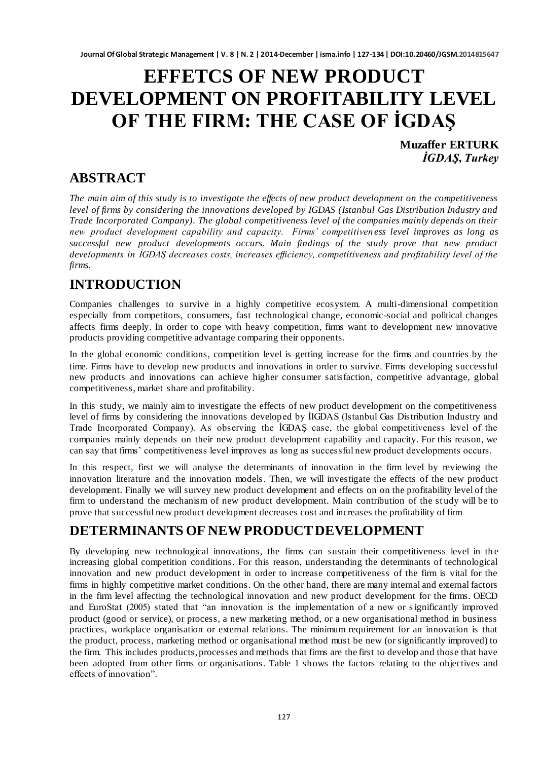# **EFFETCS OF NEW PRODUCT DEVELOPMENT ON PROFITABILITY LEVEL OF THE FIRM: THE CASE OF İGDAŞ**

**Muzaffer ERTURK** *İGDAŞ, Turkey*

### **ABSTRACT**

*The main aim of this study is to investigate the effects of new product development on the competitiveness level of firms by considering the innovations developed by IGDAS (Istanbul Gas Distribution Industry and Trade Incorporated Company). The global competitiveness level of the companies mainly depends on their new product development capability and capacity. Firms' competitiven ess level improves as long as successful new product developments occurs. Main findings of the study prove that new product developments in İGDAŞ decreases costs, increases efficiency, competitiveness and profitability level of the firms.*

### **INTRODUCTION**

Companies challenges to survive in a highly competitive ecosystem. A multi-dimensional competition especially from competitors, consumers, fast technological change, economic-social and political changes affects firms deeply. In order to cope with heavy competition, firms want to development new innovative products providing competitive advantage comparing their opponents.

In the global economic conditions, competition level is getting increase for the firms and countries by the time. Firms have to develop new products and innovations in order to survive. Firms developing successful new products and innovations can achieve higher consumer satisfaction, competitive advantage, global competitiveness, market share and profitability.

In this study, we mainly aim to investigate the effects of new product development on the competitiveness level of firms by considering the innovations developed by İIGDAS (Istanbul Gas Distribution Industry and Trade Incorporated Company). As observing the İGDAŞ case, the global competitiveness level of the companies mainly depends on their new product development capability and capacity. For this reason, we can say that firms' competitiveness level improves as long as successful new product developments occurs.

In this respect, first we will analyse the determinants of innovation in the firm level by reviewing the innovation literature and the innovation models. Then, we will investigate the effects of the new product development. Finally we will survey new product development and effects on on the profitability level of the firm to understand the mechanism of new product development. Main contribution of the st udy will be to prove that successful new product development decreases cost and increases the profitability of firm

### **DETERMINANTS OF NEW PRODUCT DEVELOPMENT**

By developing new technological innovations, the firms can sustain their competitiveness level in the increasing global competition conditions. For this reason, understanding the determinants of technological innovation and new product development in order to increase competitiveness of the firm is vital for the firms in highly competitive market conditions. On the other hand, there are many internal and external factors in the firm level affecting the technological innovation and new product development for the firms. OECD and EuroStat (2005) stated that "an innovation is the implementation of a new or significantly improved product (good or service), or process, a new marketing method, or a new organisational method in business practices, workplace organisation or external relations. The minimum requirement for an innovation is that the product, process, marketing method or organisational method must be new (or significantly improved) to the firm. This includes products, processes and methods that firms are the first to develop and those that have been adopted from other firms or organisations. Table 1 shows the factors relating to the objectives and effects of innovation".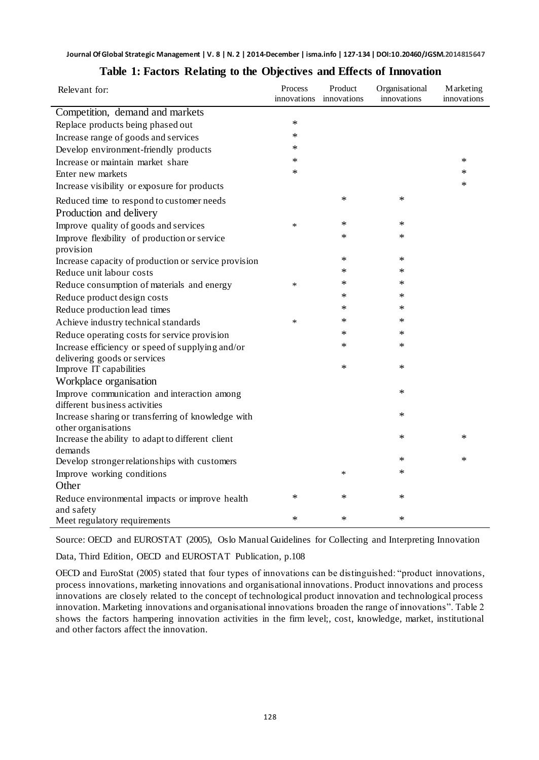| Relevant for:                                                | Process | Product<br>innovations innovations | Organisational<br>innovations | <b>Marketing</b><br>innovations |
|--------------------------------------------------------------|---------|------------------------------------|-------------------------------|---------------------------------|
| Competition, demand and markets                              |         |                                    |                               |                                 |
| Replace products being phased out                            | $\ast$  |                                    |                               |                                 |
| Increase range of goods and services                         | *       |                                    |                               |                                 |
| Develop environment-friendly products                        | $\ast$  |                                    |                               |                                 |
| Increase or maintain market share                            | *       |                                    |                               | ∗                               |
| Enter new markets                                            | $\ast$  |                                    |                               | $\ast$                          |
| Increase visibility or exposure for products                 |         |                                    |                               | *                               |
| Reduced time to respond to customer needs                    |         | ∗                                  | $\ast$                        |                                 |
| Production and delivery                                      |         |                                    |                               |                                 |
| Improve quality of goods and services                        | ∗       | ∗                                  | $\ast$                        |                                 |
| Improve flexibility of production or service                 |         | *                                  | $\ast$                        |                                 |
| provision                                                    |         |                                    |                               |                                 |
| Increase capacity of production or service provision         |         | ∗                                  | $\ast$                        |                                 |
| Reduce unit labour costs                                     |         | $\ast$                             | $\ast$                        |                                 |
| Reduce consumption of materials and energy                   | $\ast$  | ∗                                  | *                             |                                 |
| Reduce product design costs                                  |         | ∗                                  | $\ast$                        |                                 |
| Reduce production lead times                                 |         | $\ast$                             | $\ast$                        |                                 |
| Achieve industry technical standards                         | ∗       | ∗                                  | *                             |                                 |
| Reduce operating costs for service provision                 |         | *                                  | $\ast$                        |                                 |
| Increase efficiency or speed of supplying and/or             |         | ∗                                  | $\ast$                        |                                 |
| delivering goods or services                                 |         |                                    |                               |                                 |
| Improve IT capabilities                                      |         | ∗                                  | $\ast$                        |                                 |
| Workplace organisation                                       |         |                                    |                               |                                 |
| Improve communication and interaction among                  |         |                                    | $\ast$                        |                                 |
| different business activities                                |         |                                    |                               |                                 |
| Increase sharing or transferring of knowledge with           |         |                                    | $\ast$                        |                                 |
| other organisations                                          |         |                                    | $\ast$                        | *                               |
| Increase the ability to adapt to different client<br>demands |         |                                    |                               |                                 |
| Develop stronger relationships with customers                |         |                                    | $\ast$                        | ∗                               |
| Improve working conditions                                   |         | $\ast$                             | $\ast$                        |                                 |
| Other                                                        |         |                                    |                               |                                 |
| Reduce environmental impacts or improve health               | $\ast$  | $\ast$                             | $\ast$                        |                                 |
| and safety                                                   |         |                                    |                               |                                 |
| Meet regulatory requirements                                 | $\ast$  | $\ast$                             | $\ast$                        |                                 |

#### **Table 1: Factors Relating to the Objectives and Effects of Innovation**

Source: OECD and EUROSTAT (2005), Oslo Manual Guidelines for Collecting and Interpreting Innovation

Data, Third Edition, OECD and EUROSTAT Publication, p.108

OECD and EuroStat (2005) stated that four types of innovations can be distinguished: "product innovations, process innovations, marketing innovations and organisational innovations. Product innovations and process innovations are closely related to the concept of technological product innovation and technological process innovation. Marketing innovations and organisational innovations broaden the range of innovations". Table 2 shows the factors hampering innovation activities in the firm level;, cost, knowledge, market, institutional and other factors affect the innovation.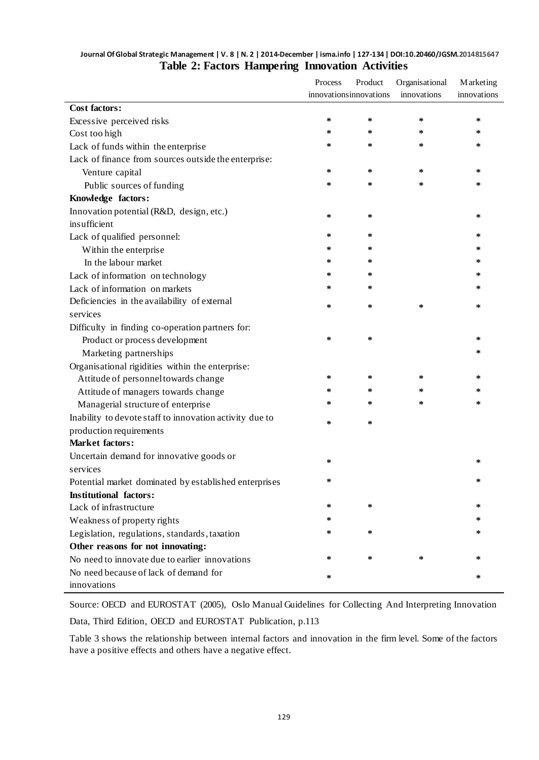#### **Journal Of Global Strategic Management | V. 8 | N. 2 | 2014-December | isma.info | 127-134 | DOI:10.20460/JGSM.2014815647 Table 2: Factors Hampering Innovation Activities**

|                                                         | Process | Product                 | Organisational<br>innovations | <b>Marketing</b> |  |
|---------------------------------------------------------|---------|-------------------------|-------------------------------|------------------|--|
|                                                         |         | innovations innovations |                               | innovations      |  |
| <b>Cost factors:</b>                                    |         |                         |                               |                  |  |
| Excessive perceived risks                               | *       | ∗                       | ∗                             | ∗                |  |
| Cost too high                                           | ∗       | ∗                       | ∗                             | ∗                |  |
| Lack of funds within the enterprise                     | *       | ∗                       | *                             | ∗                |  |
| Lack of finance from sources outside the enterprise:    |         |                         |                               |                  |  |
| Venture capital                                         | ∗       | ∗                       | ∗                             | ∗                |  |
| Public sources of funding                               | ∗       | ∗                       | ∗                             | ∗                |  |
| Knowledge factors:                                      |         |                         |                               |                  |  |
| Innovation potential (R&D, design, etc.)                | ∗       | ∗                       |                               | ∗                |  |
| insufficient                                            |         |                         |                               |                  |  |
| Lack of qualified personnel:                            | ∗       | ∗                       |                               | ∗                |  |
| Within the enterprise                                   | ∗       | ∗                       |                               | ∗                |  |
| In the labour market                                    | ∗       | ∗                       |                               | ∗                |  |
| Lack of information on technology                       | ∗       | ∗                       |                               | ∗                |  |
| Lack of information on markets                          | ∗       | ∗                       |                               | ∗                |  |
| Deficiencies in the availability of external            | ∗       | ∗                       | ∗                             | ∗                |  |
| services                                                |         |                         |                               |                  |  |
| Difficulty in finding co-operation partners for:        |         |                         |                               |                  |  |
| Product or process development                          | ∗       | ∗                       |                               | ∗                |  |
| Marketing partnerships                                  |         |                         |                               | ∗                |  |
| Organisational rigidities within the enterprise:        |         |                         |                               |                  |  |
| Attitude of personnel towards change                    | ∗       | ∗                       | ∗                             | ∗                |  |
| Attitude of managers towards change                     | *       | ∗                       | ∗                             | ∗                |  |
| Managerial structure of enterprise                      | $\ast$  | ∗                       | ∗                             | ∗                |  |
| Inability to devote staff to innovation activity due to | ∗       | ∗                       |                               |                  |  |
| production requirements                                 |         |                         |                               |                  |  |
| <b>Market factors:</b>                                  |         |                         |                               |                  |  |
| Uncertain demand for innovative goods or                | ∗       |                         |                               | ∗                |  |
| services                                                |         |                         |                               |                  |  |
| Potential market dominated by established enterprises   | ∗       |                         |                               | ∗                |  |
| <b>Institutional factors:</b>                           |         |                         |                               |                  |  |
| Lack of infrastructure                                  | ∗       | ∗                       |                               | ∗                |  |
| Weakness of property rights                             | $\ast$  |                         |                               | $\ast$           |  |
| Legislation, regulations, standards, taxation           | *       | ∗                       |                               | ∗                |  |
| Other reasons for not innovating:                       |         |                         |                               |                  |  |
| No need to innovate due to earlier innovations          | ∗       | ∗                       | ∗                             | $\ast$           |  |
| No need because of lack of demand for                   | ∗       |                         |                               | $\ast$           |  |
| innovations                                             |         |                         |                               |                  |  |

Source: OECD and EUROSTAT (2005), Oslo Manual Guidelines for Collecting And Interpreting Innovation

Data, Third Edition, OECD and EUROSTAT Publication, p.113

Table 3 shows the relationship between internal factors and innovation in the firm level. Some of the factors have a positive effects and others have a negative effect.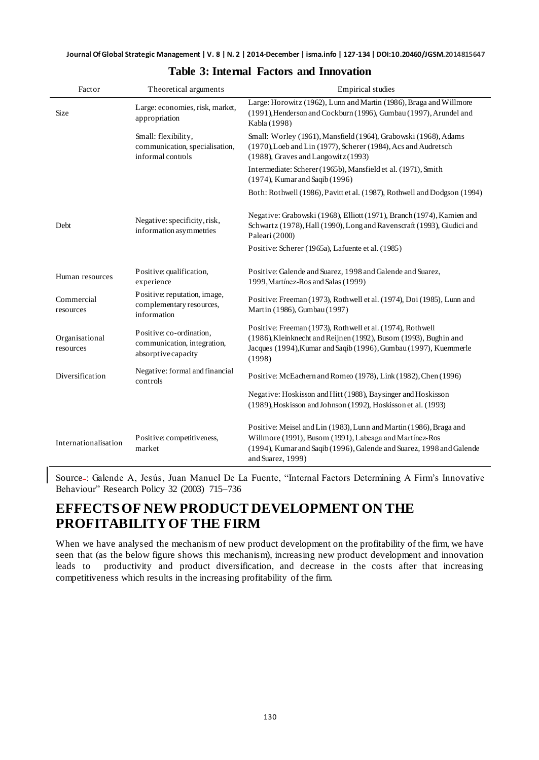| Factor                      | Theoretical arguments                                                          | <b>Empirical</b> studies                                                                                                                                                                                                   |  |  |
|-----------------------------|--------------------------------------------------------------------------------|----------------------------------------------------------------------------------------------------------------------------------------------------------------------------------------------------------------------------|--|--|
| Size                        | Large: economies, risk, market,<br>appropriation                               | Large: Horowitz (1962), Lunn and Martin (1986), Braga and Willmore<br>(1991), Henderson and Cockburn (1996), Gumbau (1997), Arundel and<br>Kabla (1998)                                                                    |  |  |
|                             | Small: flexibility,<br>communication, specialisation,<br>informal controls     | Small: Worley (1961), Mansfield (1964), Grabowski (1968), Adams<br>(1970), Loeb and Lin (1977), Scherer (1984), Acs and Audretsch<br>$(1988)$ , Graves and Langowitz $(1993)$                                              |  |  |
|                             |                                                                                | Intermediate: Scherer (1965b), Mansfield et al. (1971), Smith<br>(1974), Kumar and Saqib (1996)                                                                                                                            |  |  |
|                             |                                                                                | Both: Rothwell (1986), Pavitt et al. (1987), Rothwell and Dodgson (1994)                                                                                                                                                   |  |  |
| Debt                        | Negative: specificity, risk,<br>information asymmetries                        | Negative: Grabowski (1968), Elliott (1971), Branch (1974), Kamien and<br>Schwartz (1978), Hall (1990), Long and Ravenscraft (1993), Giudici and<br>Paleari (2000)                                                          |  |  |
|                             |                                                                                | Positive: Scherer (1965a), Lafuente et al. (1985)                                                                                                                                                                          |  |  |
| Human resources             | Positive: qualification,<br>experience                                         | Positive: Galende and Suarez, 1998 and Galende and Suarez,<br>1999, Martínez-Ros and Salas (1999)                                                                                                                          |  |  |
| Commercial<br>resources     | Positive: reputation, image,<br>complementary resources,<br>information        | Positive: Freeman (1973), Rothwell et al. (1974), Doi (1985), Lunn and<br>Martin (1986), Gumbau (1997)                                                                                                                     |  |  |
| Organisational<br>resources | Positive: co-ordination,<br>communication, integration,<br>absorptive capacity | Positive: Freeman (1973), Rothwell et al. (1974), Rothwell<br>(1986), Kleinknecht and Reijnen (1992), Busom (1993), Bughin and<br>Jacques (1994), Kumar and Saqib (1996), Gumbau (1997), Kuemmerle<br>(1998)               |  |  |
| Diversification             | Negative: formal and financial<br>controls                                     | Positive: McEachern and Romeo (1978), Link (1982), Chen (1996)                                                                                                                                                             |  |  |
|                             |                                                                                | Negative: Hoskisson and Hitt (1988), Baysinger and Hoskisson<br>(1989), Hoskisson and Johnson (1992), Hoskisson et al. (1993)                                                                                              |  |  |
| Internationalisation        | Positive: competitiveness,<br>market                                           | Positive: Meisel and Lin (1983), Lunn and Martin (1986), Braga and<br>Willmore (1991), Busom (1991), Labeaga and Martínez-Ros<br>(1994), Kumar and Saqib (1996), Galende and Suarez, 1998 and Galende<br>and Suarez, 1999) |  |  |

#### **Table 3: Internal Factors and Innovation**

Source : Galende A, Jesús, Juan Manuel De La Fuente, "Internal Factors Determining A Firm's Innovative Behaviour" Research Policy 32 (2003) 715–736

### **EFFECTS OF NEW PRODUCT DEVELOPMENT ON THE PROFITABILITY OF THE FIRM**

When we have analysed the mechanism of new product development on the profitability of the firm, we have seen that (as the below figure shows this mechanism), increasing new product development and innovation leads to productivity and product diversification, and decrease in the costs after that increasing competitiveness which results in the increasing profitability of the firm.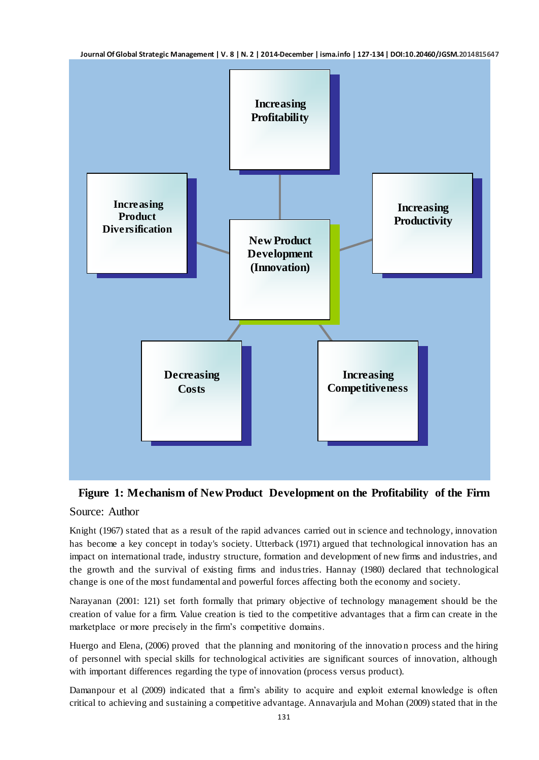

#### **Figure 1: Mechanism of New Product Development on the Profitability of the Firm**

#### Source: Author

Knight (1967) stated that as a result of the rapid advances carried out in science and technology, innovation has become a key concept in today's society. Utterback (1971) argued that technological innovation has an impact on international trade, industry structure, formation and development of new firms and industries, and the growth and the survival of existing firms and industries. Hannay (1980) declared that technological change is one of the most fundamental and powerful forces affecting both the economy and society.

Narayanan (2001: 121) set forth formally that primary objective of technology management should be the creation of value for a firm. Value creation is tied to the competitive advantages that a firm can create in the marketplace or more precisely in the firm's competitive domains.

Huergo and Elena, (2006) proved that the planning and monitoring of the innovatio n process and the hiring of personnel with special skills for technological activities are significant sources of innovation, although with important differences regarding the type of innovation (process versus product).

Damanpour et al (2009) indicated that a firm's ability to acquire and exploit external knowledge is often critical to achieving and sustaining a competitive advantage. Annavarjula and Mohan (2009) stated that in the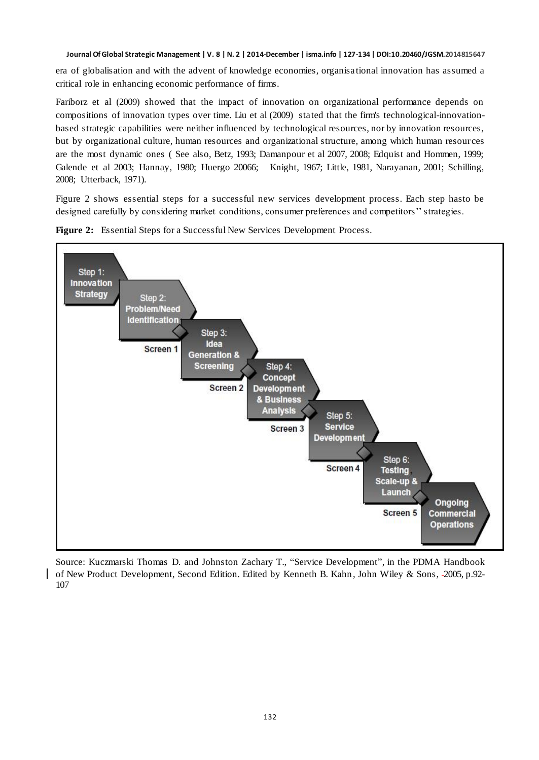**Journal Of Global Strategic Management | V. 8 | N. 2 | 2014-December | isma.info | 127-134 | DOI:10.20460/JGSM.2014815647**

era of globalisation and with the advent of knowledge economies, organisa tional innovation has assumed a critical role in enhancing economic performance of firms.

Fariborz et al (2009) showed that the impact of innovation on organizational performance depends on compositions of innovation types over time. Liu et al (2009) stated that the firm's technological-innovationbased strategic capabilities were neither influenced by technological resources, nor by innovation resources, but by organizational culture, human resources and organizational structure, among which human resources are the most dynamic ones ( See also, Betz, 1993; Damanpour et al 2007, 2008; Edquist and Hommen, 1999; Galende et al 2003; Hannay, 1980; Huergo 20066; Knight, 1967; Little, 1981, Narayanan, 2001; Schilling, 2008; Utterback, 1971).

Figure 2 shows essential steps for a successful new services development process. Each step hasto be designed carefully by considering market conditions, consumer preferences and competitors'' strategies.



**Figure 2:** Essential Steps for a Successful New Services Development Process.

Source: Kuczmarski Thomas D. and Johnston Zachary T., "Service Development", in the PDMA Handbook of New Product Development, Second Edition. Edited by Kenneth B. Kahn , John Wiley & Sons, 2005, p.92- 107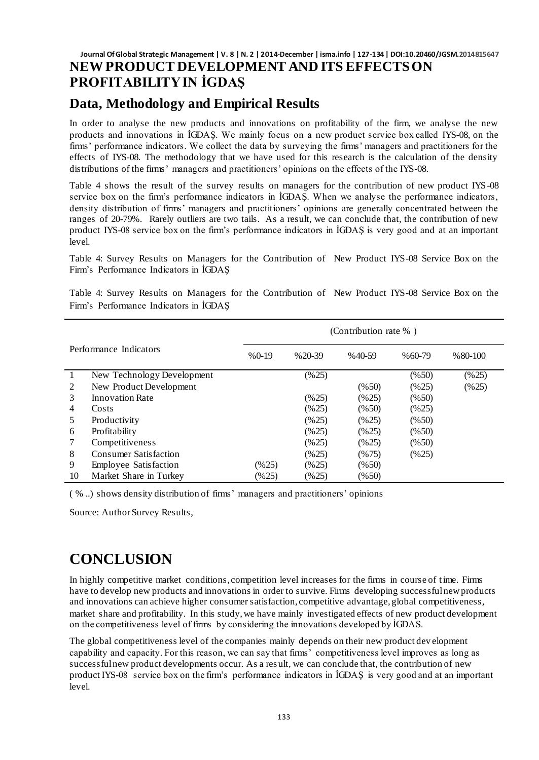#### **Journal Of Global Strategic Management | V. 8 | N. 2 | 2014-December | isma.info | 127-134 | DOI:10.20460/JGSM.2014815647 NEW PRODUCT DEVELOPMENT AND ITS EFFECTSON PROFITABILITY IN İGDAŞ**

### **Data, Methodology and Empirical Results**

In order to analyse the new products and innovations on profitability of the firm, we analyse the new products and innovations in İGDAŞ. We mainly focus on a new product service box called IYS-08, on the firms' performance indicators. We collect the data by surveying the firms' managers and practitioners for the effects of IYS-08. The methodology that we have used for this research is the calculation of the density distributions of the firms' managers and practitioners' opinions on the effects of the IYS-08.

Table 4 shows the result of the survey results on managers for the contribution of new product IYS-08 service box on the firm's performance indicators in İGDAŞ. When we analyse the performance indicators, density distribution of firms' managers and practitioners' opinions are generally concentrated between the ranges of 20-79%. Rarely outliers are two tails. As a result, we can conclude that, the contribution of new product IYS-08 service box on the firm's performance indicators in İGDAŞ is very good and at an important  $level.$ 

Table 4: Survey Results on Managers for the Contribution of New Product IYS-08 Service Box on the Firm's Performance Indicators in İGDAŞ

Table 4: Survey Results on Managers for the Contribution of New Product IYS-08 Service Box on the Firm's Performance Indicators in İGDAŞ

|                |                              | (Contribution rate $%$ ) |                    |                    |          |            |  |
|----------------|------------------------------|--------------------------|--------------------|--------------------|----------|------------|--|
|                | Performance Indicators       | $%0-19$                  | $% 20-39$          | $%40-59$           | $%60-79$ | $% 80-100$ |  |
|                | New Technology Development   |                          | (%25)              |                    | (%50)    | (%25)      |  |
| $\mathfrak{D}$ | New Product Development      |                          |                    | (%50)              | (%25)    | (%25)      |  |
| 3              | <b>Innovation Rate</b>       |                          | (%25)              | $(\%25)$           | (%50)    |            |  |
| 4              | Costs                        |                          | $(\frac{9625}{3})$ | (%50)              | (%25)    |            |  |
| 5.             | Productivity                 |                          | (%25)              | $(\frac{9625}{3})$ | (%50)    |            |  |
| 6              | Profitability                |                          | (%25)              | $(\frac{9625}{3})$ | (%50)    |            |  |
|                | Competitiveness              |                          | (%25)              | $(\%25)$           | (%50)    |            |  |
| 8              | <b>Consumer Satisfaction</b> |                          | (%25)              | (%75)              | (%25)    |            |  |
| 9              | <b>Employee Satisfaction</b> | $(\% 25)$                | (%25)              | (%50)              |          |            |  |
| 10             | Market Share in Turkey       | (%25)                    | $(\frac{9625}{3})$ | (%50)              |          |            |  |

( % ..) shows density distribution of firms' managers and practitioners' opinions

Source: Author Survey Results,

## **CONCLUSION**

In highly competitive market conditions, competition level increases for the firms in course of time. Firms have to develop new products and innovations in order to survive. Firms developing successful new products and innovations can achieve higher consumer satisfaction, competitive advantage, global competitiveness, market share and profitability. In this study, we have mainly investigated effects of new product development on the competitiveness level of firms by considering the innovations developed by İGDAS.

The global competitiveness level of the companies mainly depends on their new product dev elopment capability and capacity. For this reason, we can say that firms' competitiveness level improves as long as successful new product developments occur. As a res ult, we can conclude that, the contribution of new product IYS-08 service box on the firm's performance indicators in İGDAŞ is very good and at an important level.